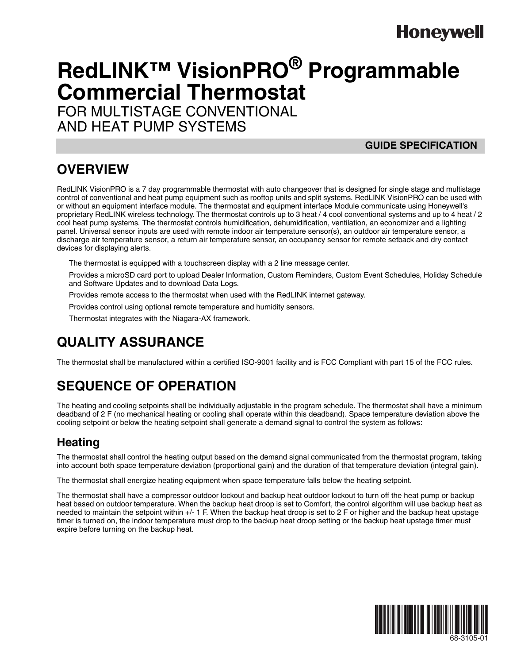# **Honeywell**

# **RedLINK™ VisionPRO® Programmable Commercial Thermostat**

FOR MULTISTAGE CONVENTIONAL AND HEAT PUMP SYSTEMS

#### **GUIDE SPECIFICATION**

### **OVERVIEW**

RedLINK VisionPRO is a 7 day programmable thermostat with auto changeover that is designed for single stage and multistage control of conventional and heat pump equipment such as rooftop units and split systems. RedLINK VisionPRO can be used with or without an equipment interface module. The thermostat and equipment interface Module communicate using Honeywell's proprietary RedLINK wireless technology. The thermostat controls up to 3 heat / 4 cool conventional systems and up to 4 heat / 2 cool heat pump systems. The thermostat controls humidification, dehumidification, ventilation, an economizer and a lighting panel. Universal sensor inputs are used with remote indoor air temperature sensor(s), an outdoor air temperature sensor, a discharge air temperature sensor, a return air temperature sensor, an occupancy sensor for remote setback and dry contact devices for displaying alerts.

The thermostat is equipped with a touchscreen display with a 2 line message center.

Provides a microSD card port to upload Dealer Information, Custom Reminders, Custom Event Schedules, Holiday Schedule and Software Updates and to download Data Logs.

Provides remote access to the thermostat when used with the RedLINK internet gateway.

Provides control using optional remote temperature and humidity sensors.

Thermostat integrates with the Niagara-AX framework.

### **QUALITY ASSURANCE**

The thermostat shall be manufactured within a certified ISO-9001 facility and is FCC Compliant with part 15 of the FCC rules.

### **SEQUENCE OF OPERATION**

The heating and cooling setpoints shall be individually adjustable in the program schedule. The thermostat shall have a minimum deadband of 2 F (no mechanical heating or cooling shall operate within this deadband). Space temperature deviation above the cooling setpoint or below the heating setpoint shall generate a demand signal to control the system as follows:

#### **Heating**

The thermostat shall control the heating output based on the demand signal communicated from the thermostat program, taking into account both space temperature deviation (proportional gain) and the duration of that temperature deviation (integral gain).

The thermostat shall energize heating equipment when space temperature falls below the heating setpoint.

The thermostat shall have a compressor outdoor lockout and backup heat outdoor lockout to turn off the heat pump or backup heat based on outdoor temperature. When the backup heat droop is set to Comfort, the control algorithm will use backup heat as needed to maintain the setpoint within +/- 1 F. When the backup heat droop is set to 2 F or higher and the backup heat upstage timer is turned on, the indoor temperature must drop to the backup heat droop setting or the backup heat upstage timer must expire before turning on the backup heat.



68-3105-01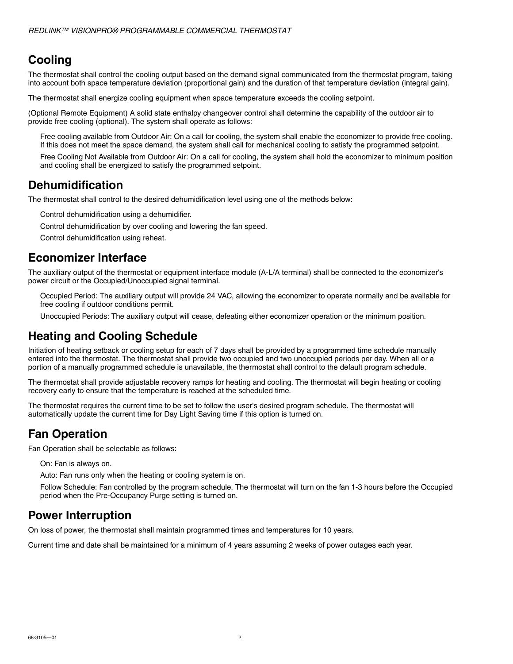#### **Cooling**

The thermostat shall control the cooling output based on the demand signal communicated from the thermostat program, taking into account both space temperature deviation (proportional gain) and the duration of that temperature deviation (integral gain).

The thermostat shall energize cooling equipment when space temperature exceeds the cooling setpoint.

(Optional Remote Equipment) A solid state enthalpy changeover control shall determine the capability of the outdoor air to provide free cooling (optional). The system shall operate as follows:

Free cooling available from Outdoor Air: On a call for cooling, the system shall enable the economizer to provide free cooling. If this does not meet the space demand, the system shall call for mechanical cooling to satisfy the programmed setpoint.

Free Cooling Not Available from Outdoor Air: On a call for cooling, the system shall hold the economizer to minimum position and cooling shall be energized to satisfy the programmed setpoint.

#### **Dehumidification**

The thermostat shall control to the desired dehumidification level using one of the methods below:

Control dehumidification using a dehumidifier.

Control dehumidification by over cooling and lowering the fan speed.

Control dehumidification using reheat.

#### **Economizer Interface**

The auxiliary output of the thermostat or equipment interface module (A-L/A terminal) shall be connected to the economizer's power circuit or the Occupied/Unoccupied signal terminal.

Occupied Period: The auxiliary output will provide 24 VAC, allowing the economizer to operate normally and be available for free cooling if outdoor conditions permit.

Unoccupied Periods: The auxiliary output will cease, defeating either economizer operation or the minimum position.

#### **Heating and Cooling Schedule**

Initiation of heating setback or cooling setup for each of 7 days shall be provided by a programmed time schedule manually entered into the thermostat. The thermostat shall provide two occupied and two unoccupied periods per day. When all or a portion of a manually programmed schedule is unavailable, the thermostat shall control to the default program schedule.

The thermostat shall provide adjustable recovery ramps for heating and cooling. The thermostat will begin heating or cooling recovery early to ensure that the temperature is reached at the scheduled time.

The thermostat requires the current time to be set to follow the user's desired program schedule. The thermostat will automatically update the current time for Day Light Saving time if this option is turned on.

#### **Fan Operation**

Fan Operation shall be selectable as follows:

On: Fan is always on.

Auto: Fan runs only when the heating or cooling system is on.

Follow Schedule: Fan controlled by the program schedule. The thermostat will turn on the fan 1-3 hours before the Occupied period when the Pre-Occupancy Purge setting is turned on.

#### **Power Interruption**

On loss of power, the thermostat shall maintain programmed times and temperatures for 10 years.

Current time and date shall be maintained for a minimum of 4 years assuming 2 weeks of power outages each year.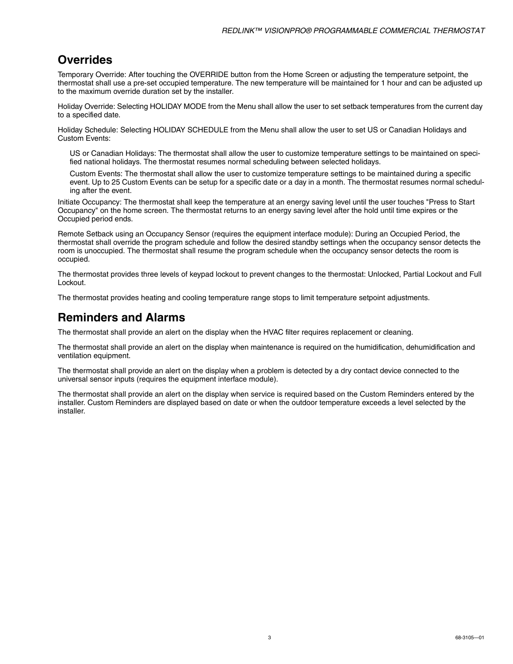#### **Overrides**

Temporary Override: After touching the OVERRIDE button from the Home Screen or adjusting the temperature setpoint, the thermostat shall use a pre-set occupied temperature. The new temperature will be maintained for 1 hour and can be adjusted up to the maximum override duration set by the installer.

Holiday Override: Selecting HOLIDAY MODE from the Menu shall allow the user to set setback temperatures from the current day to a specified date.

Holiday Schedule: Selecting HOLIDAY SCHEDULE from the Menu shall allow the user to set US or Canadian Holidays and Custom Events:

US or Canadian Holidays: The thermostat shall allow the user to customize temperature settings to be maintained on specified national holidays. The thermostat resumes normal scheduling between selected holidays.

Custom Events: The thermostat shall allow the user to customize temperature settings to be maintained during a specific event. Up to 25 Custom Events can be setup for a specific date or a day in a month. The thermostat resumes normal scheduling after the event.

Initiate Occupancy: The thermostat shall keep the temperature at an energy saving level until the user touches "Press to Start Occupancy" on the home screen. The thermostat returns to an energy saving level after the hold until time expires or the Occupied period ends.

Remote Setback using an Occupancy Sensor (requires the equipment interface module): During an Occupied Period, the thermostat shall override the program schedule and follow the desired standby settings when the occupancy sensor detects the room is unoccupied. The thermostat shall resume the program schedule when the occupancy sensor detects the room is occupied.

The thermostat provides three levels of keypad lockout to prevent changes to the thermostat: Unlocked, Partial Lockout and Full Lockout.

The thermostat provides heating and cooling temperature range stops to limit temperature setpoint adjustments.

#### **Reminders and Alarms**

The thermostat shall provide an alert on the display when the HVAC filter requires replacement or cleaning.

The thermostat shall provide an alert on the display when maintenance is required on the humidification, dehumidification and ventilation equipment.

The thermostat shall provide an alert on the display when a problem is detected by a dry contact device connected to the universal sensor inputs (requires the equipment interface module).

The thermostat shall provide an alert on the display when service is required based on the Custom Reminders entered by the installer. Custom Reminders are displayed based on date or when the outdoor temperature exceeds a level selected by the installer.